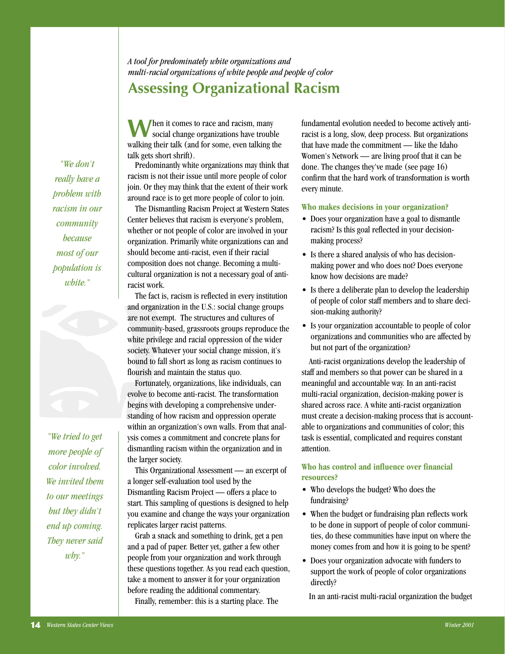*"We don't really have a problem with racism in our community because most of our population is white."*

*"We tried to get more people of color involved. We invited them to our meetings but they didn't end up coming. They never said why."*

*A tool for predominately white organizations and multi-racial organizations of white people and people of color* **Assessing Organizational Racism**

**W** hen it comes to race and racism, many<br>social change organizations have trouble walking their talk (and for some, even talking the talk gets short shrift).

Predominantly white organizations may think that racism is not their issue until more people of color join. Or they may think that the extent of their work around race is to get more people of color to join.

The Dismantling Racism Project at Western States Center believes that racism is everyone's problem, whether or not people of color are involved in your organization. Primarily white organizations can and should become anti-racist, even if their racial composition does not change. Becoming a multicultural organization is not a necessary goal of antiracist work.

The fact is, racism is reflected in every institution and organization in the U.S.: social change groups are not exempt. The structures and cultures of community-based, grassroots groups reproduce the white privilege and racial oppression of the wider society. Whatever your social change mission, it's bound to fall short as long as racism continues to flourish and maintain the status quo.

Fortunately, organizations, like individuals, can evolve to become anti-racist. The transformation begins with developing a comprehensive understanding of how racism and oppression operate within an organization's own walls. From that analysis comes a commitment and concrete plans for dismantling racism within the organization and in the larger society.

This Organizational Assessment — an excerpt of a longer self-evaluation tool used by the Dismantling Racism Project — offers a place to start. This sampling of questions is designed to help you examine and change the ways your organization replicates larger racist patterns.

Grab a snack and something to drink, get a pen and a pad of paper. Better yet, gather a few other people from your organization and work through these questions together. As you read each question, take a moment to answer it for your organization before reading the additional commentary. Finally, remember: this is a starting place. The

fundamental evolution needed to become actively antiracist is a long, slow, deep process. But organizations that have made the commitment — like the Idaho Women's Network — are living proof that it can be done. The changes they've made (see page 16) confirm that the hard work of transformation is worth every minute.

#### **Who makes decisions in your organization?**

- Does your organization have a goal to dismantle racism? Is this goal reflected in your decisionmaking process?
- Is there a shared analysis of who has decisionmaking power and who does not? Does everyone know how decisions are made?
- Is there a deliberate plan to develop the leadership of people of color staff members and to share decision-making authority?
- Is your organization accountable to people of color organizations and communities who are affected by but not part of the organization?

Anti-racist organizations develop the leadership of staff and members so that power can be shared in a meaningful and accountable way. In an anti-racist multi-racial organization, decision-making power is shared across race. A white anti-racist organization must create a decision-making process that is accountable to organizations and communities of color; this task is essential, complicated and requires constant attention.

## **Who has control and influence over financial resources?**

- Who develops the budget? Who does the fundraising?
- When the budget or fundraising plan reflects work to be done in support of people of color communities, do these communities have input on where the money comes from and how it is going to be spent?
- Does your organization advocate with funders to support the work of people of color organizations directly?

In an anti-racist multi-racial organization the budget